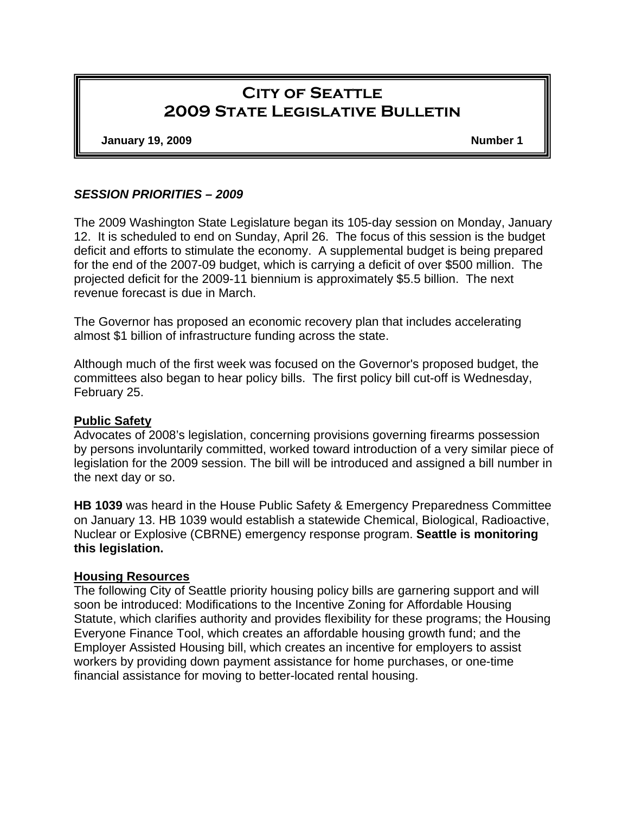# **City of Seattle 2009 State Legislative Bulletin**

**January 19, 2009 Number 1** 

#### *SESSION PRIORITIES – 2009*

The 2009 Washington State Legislature began its 105-day session on Monday, January 12. It is scheduled to end on Sunday, April 26. The focus of this session is the budget deficit and efforts to stimulate the economy. A supplemental budget is being prepared for the end of the 2007-09 budget, which is carrying a deficit of over \$500 million. The projected deficit for the 2009-11 biennium is approximately \$5.5 billion. The next revenue forecast is due in March.

The Governor has proposed an economic recovery plan that includes accelerating almost \$1 billion of infrastructure funding across the state.

Although much of the first week was focused on the Governor's proposed budget, the committees also began to hear policy bills. The first policy bill cut-off is Wednesday, February 25.

#### **Public Safety**

Advocates of 2008's legislation, concerning provisions governing firearms possession by persons involuntarily committed, worked toward introduction of a very similar piece of legislation for the 2009 session. The bill will be introduced and assigned a bill number in the next day or so.

**HB 1039** was heard in the House Public Safety & Emergency Preparedness Committee on January 13. HB 1039 would establish a statewide Chemical, Biological, Radioactive, Nuclear or Explosive (CBRNE) emergency response program. **Seattle is monitoring this legislation.** 

#### **Housing Resources**

The following City of Seattle priority housing policy bills are garnering support and will soon be introduced: Modifications to the Incentive Zoning for Affordable Housing Statute, which clarifies authority and provides flexibility for these programs; the Housing Everyone Finance Tool, which creates an affordable housing growth fund; and the Employer Assisted Housing bill, which creates an incentive for employers to assist workers by providing down payment assistance for home purchases, or one-time financial assistance for moving to better-located rental housing.